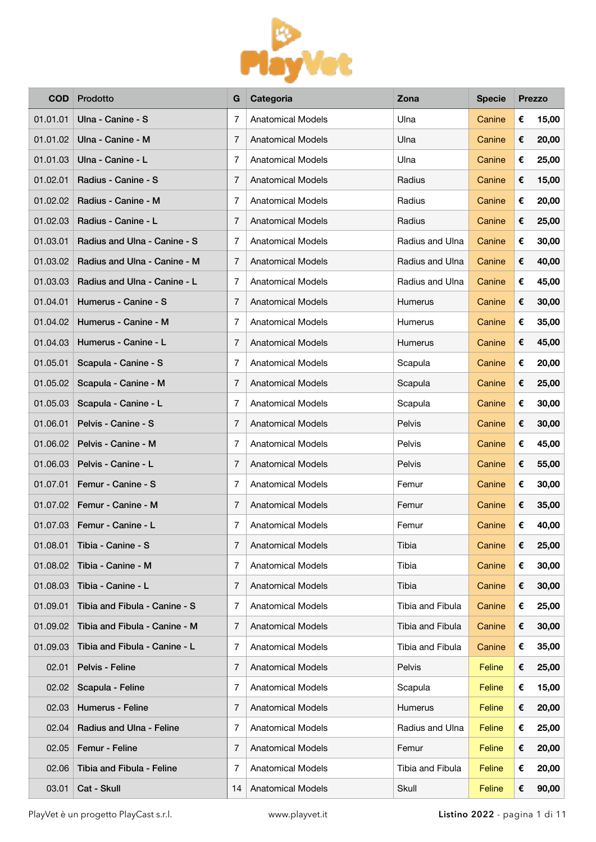

| <b>COD</b> | Prodotto                      | G  | Categoria                | Zona             | <b>Specie</b> |   | <b>Prezzo</b> |
|------------|-------------------------------|----|--------------------------|------------------|---------------|---|---------------|
| 01.01.01   | Ulna - Canine - S             | 7  | <b>Anatomical Models</b> | Ulna             | Canine        | € | 15,00         |
| 01.01.02   | Ulna - Canine - M             | 7  | Anatomical Models        | Ulna             | Canine        | € | 20,00         |
| 01.01.03   | Ulna - Canine - L             | 7  | <b>Anatomical Models</b> | Ulna             | Canine        | € | 25,00         |
| 01.02.01   | Radius - Canine - S           | 7  | <b>Anatomical Models</b> | Radius           | Canine        | € | 15,00         |
| 01.02.02   | Radius - Canine - M           | 7  | <b>Anatomical Models</b> | Radius           | Canine        | € | 20,00         |
| 01.02.03   | Radius - Canine - L           | 7  | <b>Anatomical Models</b> | Radius           | Canine        | € | 25,00         |
| 01.03.01   | Radius and Ulna - Canine - S  | 7  | <b>Anatomical Models</b> | Radius and Ulna  | Canine        | € | 30,00         |
| 01.03.02   | Radius and Ulna - Canine - M  | 7  | <b>Anatomical Models</b> | Radius and Ulna  | Canine        | € | 40,00         |
| 01.03.03   | Radius and Ulna - Canine - L  | 7  | <b>Anatomical Models</b> | Radius and Ulna  | Canine        | € | 45,00         |
| 01.04.01   | Humerus - Canine - S          | 7  | <b>Anatomical Models</b> | Humerus          | Canine        | € | 30,00         |
| 01.04.02   | Humerus - Canine - M          | 7  | <b>Anatomical Models</b> | Humerus          | Canine        | € | 35,00         |
| 01.04.03   | Humerus - Canine - L          | 7  | <b>Anatomical Models</b> | Humerus          | Canine        | € | 45,00         |
| 01.05.01   | Scapula - Canine - S          | 7  | <b>Anatomical Models</b> | Scapula          | Canine        | € | 20,00         |
| 01.05.02   | Scapula - Canine - M          | 7  | <b>Anatomical Models</b> | Scapula          | Canine        | € | 25,00         |
| 01.05.03   | Scapula - Canine - L          | 7  | <b>Anatomical Models</b> | Scapula          | Canine        | € | 30,00         |
| 01.06.01   | Pelvis - Canine - S           | 7  | <b>Anatomical Models</b> | Pelvis           | Canine        | € | 30,00         |
| 01.06.02   | Pelvis - Canine - M           | 7  | <b>Anatomical Models</b> | Pelvis           | Canine        | € | 45,00         |
| 01.06.03   | Pelvis - Canine - L           | 7  | <b>Anatomical Models</b> | Pelvis           | Canine        | € | 55,00         |
| 01.07.01   | Femur - Canine - S            | 7  | <b>Anatomical Models</b> | Femur            | Canine        | € | 30,00         |
| 01.07.02   | Femur - Canine - M            | 7  | <b>Anatomical Models</b> | Femur            | Canine        | € | 35,00         |
| 01.07.03   | Femur - Canine - L            | 7  | <b>Anatomical Models</b> | Femur            | Canine        | € | 40,00         |
| 01.08.01   | Tibia - Canine - S            | 7  | <b>Anatomical Models</b> | Tibia            | Canine        | € | 25,00         |
| 01.08.02   | Tibia - Canine - M            | 7  | <b>Anatomical Models</b> | Tibia            | Canine        | € | 30,00         |
| 01.08.03   | Tibia - Canine - L            | 7  | <b>Anatomical Models</b> | Tibia            | Canine        | € | 30,00         |
| 01.09.01   | Tibia and Fibula - Canine - S | 7  | <b>Anatomical Models</b> | Tibia and Fibula | Canine        | € | 25,00         |
| 01.09.02   | Tibia and Fibula - Canine - M | 7  | <b>Anatomical Models</b> | Tibia and Fibula | Canine        | € | 30,00         |
| 01.09.03   | Tibia and Fibula - Canine - L | 7  | <b>Anatomical Models</b> | Tibia and Fibula | Canine        | € | 35,00         |
| 02.01      | Pelvis - Feline               | 7  | <b>Anatomical Models</b> | Pelvis           | Feline        | € | 25,00         |
| 02.02      | Scapula - Feline              | 7  | <b>Anatomical Models</b> | Scapula          | Feline        | € | 15,00         |
| 02.03      | <b>Humerus - Feline</b>       | 7  | <b>Anatomical Models</b> | Humerus          | Feline        | € | 20,00         |
| 02.04      | Radius and Ulna - Feline      | 7  | <b>Anatomical Models</b> | Radius and Ulna  | Feline        | € | 25,00         |
| 02.05      | Femur - Feline                | 7  | <b>Anatomical Models</b> | Femur            | Feline        | € | 20,00         |
| 02.06      | Tibia and Fibula - Feline     | 7  | <b>Anatomical Models</b> | Tibia and Fibula | Feline        | € | 20,00         |
| 03.01      | Cat - Skull                   | 14 | <b>Anatomical Models</b> | Skull            | Feline        | € | 90,00         |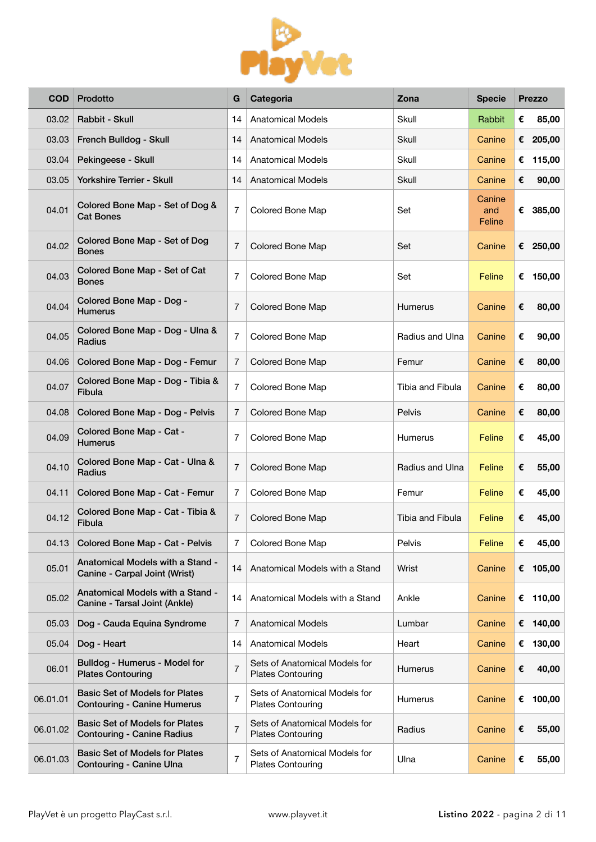

| <b>COD</b> | Prodotto                                                                    | G              | Categoria                                                 | Zona             | <b>Specie</b>           |   | <b>Prezzo</b> |
|------------|-----------------------------------------------------------------------------|----------------|-----------------------------------------------------------|------------------|-------------------------|---|---------------|
| 03.02      | Rabbit - Skull                                                              | 14             | <b>Anatomical Models</b>                                  | Skull            | Rabbit                  | € | 85,00         |
| 03.03      | French Bulldog - Skull                                                      | 14             | <b>Anatomical Models</b>                                  | Skull            | Canine                  |   | € 205,00      |
| 03.04      | Pekingeese - Skull                                                          | 14             | <b>Anatomical Models</b>                                  | Skull            | Canine                  | € | 115,00        |
| 03.05      | <b>Yorkshire Terrier - Skull</b>                                            | 14             | <b>Anatomical Models</b>                                  | Skull            | Canine                  | € | 90,00         |
| 04.01      | Colored Bone Map - Set of Dog &<br><b>Cat Bones</b>                         | $\overline{7}$ | Colored Bone Map                                          | Set              | Canine<br>and<br>Feline |   | € 385,00      |
| 04.02      | Colored Bone Map - Set of Dog<br><b>Bones</b>                               | $\overline{7}$ | Colored Bone Map                                          | Set              | Canine                  |   | € 250,00      |
| 04.03      | Colored Bone Map - Set of Cat<br><b>Bones</b>                               | $\overline{7}$ | Colored Bone Map                                          | Set              | Feline                  | € | 150,00        |
| 04.04      | Colored Bone Map - Dog -<br><b>Humerus</b>                                  | 7              | Colored Bone Map                                          | Humerus          | Canine                  | € | 80,00         |
| 04.05      | Colored Bone Map - Dog - Ulna &<br>Radius                                   | 7              | Colored Bone Map                                          | Radius and Ulna  | Canine                  | € | 90,00         |
| 04.06      | Colored Bone Map - Dog - Femur                                              | $\overline{7}$ | Colored Bone Map                                          | Femur            | Canine                  | € | 80,00         |
| 04.07      | Colored Bone Map - Dog - Tibia &<br><b>Fibula</b>                           | 7              | Colored Bone Map                                          | Tibia and Fibula | Canine                  | € | 80,00         |
| 04.08      | Colored Bone Map - Dog - Pelvis                                             | $\overline{7}$ | Colored Bone Map                                          | Pelvis           | Canine                  | € | 80,00         |
| 04.09      | Colored Bone Map - Cat -<br><b>Humerus</b>                                  | 7              | Colored Bone Map                                          | Humerus          | Feline                  | € | 45,00         |
| 04.10      | Colored Bone Map - Cat - Ulna &<br>Radius                                   | 7              | Colored Bone Map                                          | Radius and Ulna  | Feline                  | € | 55,00         |
| 04.11      | Colored Bone Map - Cat - Femur                                              | 7              | Colored Bone Map                                          | Femur            | Feline                  | € | 45,00         |
| 04.12      | Colored Bone Map - Cat - Tibia &<br>Fibula                                  | 7              | Colored Bone Map                                          | Tibia and Fibula | Feline                  | € | 45,00         |
| 04.13      | Colored Bone Map - Cat - Pelvis                                             | 7              | Colored Bone Map                                          | Pelvis           | Feline                  | € | 45,00         |
| 05.01      | Anatomical Models with a Stand -<br>Canine - Carpal Joint (Wrist)           | 14             | Anatomical Models with a Stand                            | Wrist            | Canine                  |   | € 105,00      |
| 05.02      | Anatomical Models with a Stand -<br>Canine - Tarsal Joint (Ankle)           | 14             | Anatomical Models with a Stand                            | Ankle            | Canine                  |   | € 110,00      |
| 05.03      | Dog - Cauda Equina Syndrome                                                 | 7              | <b>Anatomical Models</b>                                  | Lumbar           | Canine                  |   | € 140,00      |
| 05.04      | Dog - Heart                                                                 | 14             | <b>Anatomical Models</b>                                  | Heart            | Canine                  | € | 130,00        |
| 06.01      | Bulldog - Humerus - Model for<br><b>Plates Contouring</b>                   | $\overline{7}$ | Sets of Anatomical Models for<br><b>Plates Contouring</b> | Humerus          | Canine                  | € | 40,00         |
| 06.01.01   | <b>Basic Set of Models for Plates</b><br><b>Contouring - Canine Humerus</b> | $\overline{7}$ | Sets of Anatomical Models for<br><b>Plates Contouring</b> | Humerus          | Canine                  | € | 100,00        |
| 06.01.02   | <b>Basic Set of Models for Plates</b><br><b>Contouring - Canine Radius</b>  | $\overline{7}$ | Sets of Anatomical Models for<br><b>Plates Contouring</b> | Radius           | Canine                  | € | 55,00         |
| 06.01.03   | <b>Basic Set of Models for Plates</b><br>Contouring - Canine Ulna           | 7              | Sets of Anatomical Models for<br><b>Plates Contouring</b> | Ulna             | Canine                  | € | 55,00         |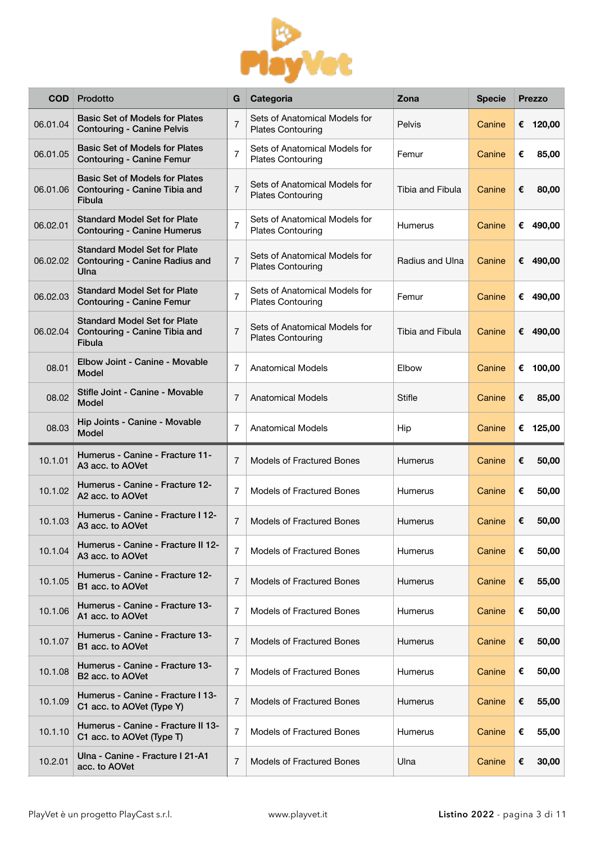

| <b>COD</b> | Prodotto                                                                                | G              | Categoria                                                 | Zona             | <b>Specie</b> | <b>Prezzo</b> |
|------------|-----------------------------------------------------------------------------------------|----------------|-----------------------------------------------------------|------------------|---------------|---------------|
| 06.01.04   | <b>Basic Set of Models for Plates</b><br><b>Contouring - Canine Pelvis</b>              | $\overline{7}$ | Sets of Anatomical Models for<br><b>Plates Contouring</b> | Pelvis           | Canine        | € 120,00      |
| 06.01.05   | <b>Basic Set of Models for Plates</b><br><b>Contouring - Canine Femur</b>               | $\overline{7}$ | Sets of Anatomical Models for<br><b>Plates Contouring</b> | Femur            | Canine        | €<br>85,00    |
| 06.01.06   | <b>Basic Set of Models for Plates</b><br>Contouring - Canine Tibia and<br><b>Fibula</b> | $\overline{7}$ | Sets of Anatomical Models for<br><b>Plates Contouring</b> | Tibia and Fibula | Canine        | 80,00<br>€    |
| 06.02.01   | <b>Standard Model Set for Plate</b><br><b>Contouring - Canine Humerus</b>               | $\overline{7}$ | Sets of Anatomical Models for<br><b>Plates Contouring</b> | Humerus          | Canine        | € 490,00      |
| 06.02.02   | <b>Standard Model Set for Plate</b><br>Contouring - Canine Radius and<br>Ulna           | $\overline{7}$ | Sets of Anatomical Models for<br><b>Plates Contouring</b> | Radius and Ulna  | Canine        | € 490,00      |
| 06.02.03   | <b>Standard Model Set for Plate</b><br><b>Contouring - Canine Femur</b>                 | $\overline{7}$ | Sets of Anatomical Models for<br><b>Plates Contouring</b> | Femur            | Canine        | € 490,00      |
| 06.02.04   | <b>Standard Model Set for Plate</b><br>Contouring - Canine Tibia and<br><b>Fibula</b>   | $\overline{7}$ | Sets of Anatomical Models for<br><b>Plates Contouring</b> | Tibia and Fibula | Canine        | € 490,00      |
| 08.01      | Elbow Joint - Canine - Movable<br>Model                                                 | 7              | <b>Anatomical Models</b>                                  | Elbow            | Canine        | € 100,00      |
| 08.02      | Stifle Joint - Canine - Movable<br><b>Model</b>                                         | $\overline{7}$ | <b>Anatomical Models</b>                                  | <b>Stifle</b>    | Canine        | €<br>85,00    |
| 08.03      | Hip Joints - Canine - Movable<br><b>Model</b>                                           | 7              | <b>Anatomical Models</b>                                  | Hip              | Canine        | € 125,00      |
| 10.1.01    | Humerus - Canine - Fracture 11-<br>A3 acc. to AOVet                                     | $\overline{7}$ | <b>Models of Fractured Bones</b>                          | Humerus          | Canine        | €<br>50,00    |
| 10.1.02    | Humerus - Canine - Fracture 12-<br>A2 acc. to AOVet                                     | 7              | <b>Models of Fractured Bones</b>                          | Humerus          | Canine        | 50,00<br>€    |
| 10.1.03    | Humerus - Canine - Fracture I 12-<br>A <sub>3</sub> acc. to AOVet                       | 7              | <b>Models of Fractured Bones</b>                          | Humerus          | Canine        | €<br>50,00    |
| 10.1.04    | Humerus - Canine - Fracture II 12-<br>A3 acc. to AOVet                                  | $\overline{7}$ | <b>Models of Fractured Bones</b>                          | Humerus          | Canine        | 50,00<br>€    |
| 10.1.05    | Humerus - Canine - Fracture 12-<br>B1 acc. to AOVet                                     | 7              | <b>Models of Fractured Bones</b>                          | Humerus          | Canine        | €<br>55,00    |
| 10.1.06    | Humerus - Canine - Fracture 13-<br>A1 acc. to AOVet                                     | 7              | <b>Models of Fractured Bones</b>                          | Humerus          | Canine        | €<br>50,00    |
| 10.1.07    | Humerus - Canine - Fracture 13-<br>B1 acc. to AOVet                                     | 7              | <b>Models of Fractured Bones</b>                          | <b>Humerus</b>   | Canine        | €<br>50,00    |
| 10.1.08    | Humerus - Canine - Fracture 13-<br>B <sub>2</sub> acc. to AOVet                         | 7              | <b>Models of Fractured Bones</b>                          | Humerus          | Canine        | €<br>50,00    |
| 10.1.09    | Humerus - Canine - Fracture I 13-<br>C1 acc. to AOVet (Type Y)                          | 7              | <b>Models of Fractured Bones</b>                          | Humerus          | Canine        | €<br>55,00    |
| 10.1.10    | Humerus - Canine - Fracture II 13-<br>C1 acc. to AOVet (Type T)                         | 7              | <b>Models of Fractured Bones</b>                          | Humerus          | Canine        | 55,00<br>€    |
| 10.2.01    | Ulna - Canine - Fracture I 21-A1<br>acc. to AOVet                                       | 7              | <b>Models of Fractured Bones</b>                          | Ulna             | Canine        | 30,00<br>€    |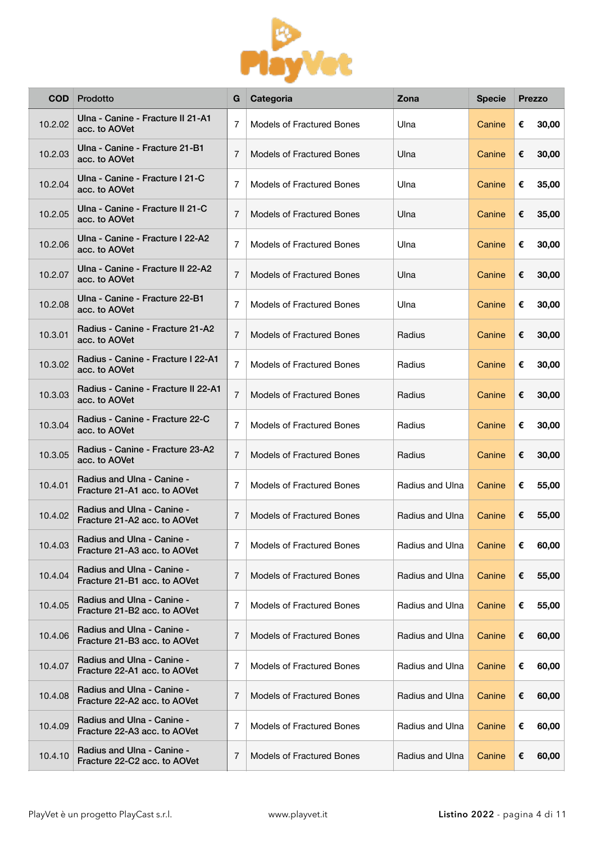

| <b>COD</b> | Prodotto                                                   | G              | Categoria                        | Zona            | <b>Specie</b> |   | <b>Prezzo</b> |
|------------|------------------------------------------------------------|----------------|----------------------------------|-----------------|---------------|---|---------------|
| 10.2.02    | Ulna - Canine - Fracture II 21-A1<br>acc. to AOVet         | $\overline{7}$ | <b>Models of Fractured Bones</b> | Ulna            | Canine        | € | 30,00         |
| 10.2.03    | Ulna - Canine - Fracture 21-B1<br>acc. to AOVet            | 7              | <b>Models of Fractured Bones</b> | Ulna            | Canine        | € | 30,00         |
| 10.2.04    | Ulna - Canine - Fracture I 21-C<br>acc. to AOVet           | 7              | <b>Models of Fractured Bones</b> | Ulna            | Canine        | € | 35,00         |
| 10.2.05    | Ulna - Canine - Fracture II 21-C<br>acc. to AOVet          | 7              | <b>Models of Fractured Bones</b> | Ulna            | Canine        | € | 35,00         |
| 10.2.06    | Ulna - Canine - Fracture I 22-A2<br>acc. to AOVet          | $\overline{7}$ | <b>Models of Fractured Bones</b> | Ulna            | Canine        | € | 30,00         |
| 10.2.07    | Ulna - Canine - Fracture II 22-A2<br>acc. to AOVet         | $\overline{7}$ | <b>Models of Fractured Bones</b> | Ulna            | Canine        | € | 30,00         |
| 10.2.08    | Ulna - Canine - Fracture 22-B1<br>acc. to AOVet            | 7              | <b>Models of Fractured Bones</b> | Ulna            | Canine        | € | 30,00         |
| 10.3.01    | Radius - Canine - Fracture 21-A2<br>acc. to AOVet          | $\overline{7}$ | <b>Models of Fractured Bones</b> | Radius          | Canine        | € | 30,00         |
| 10.3.02    | Radius - Canine - Fracture I 22-A1<br>acc. to AOVet        | $\overline{7}$ | <b>Models of Fractured Bones</b> | Radius          | Canine        | € | 30,00         |
| 10.3.03    | Radius - Canine - Fracture II 22-A1<br>acc. to AOVet       | $\overline{7}$ | <b>Models of Fractured Bones</b> | Radius          | Canine        | € | 30,00         |
| 10.3.04    | Radius - Canine - Fracture 22-C<br>acc. to AOVet           | 7              | <b>Models of Fractured Bones</b> | Radius          | Canine        | € | 30,00         |
| 10.3.05    | Radius - Canine - Fracture 23-A2<br>acc. to AOVet          | $\overline{7}$ | <b>Models of Fractured Bones</b> | Radius          | Canine        | € | 30,00         |
| 10.4.01    | Radius and Ulna - Canine -<br>Fracture 21-A1 acc. to AOVet | 7              | <b>Models of Fractured Bones</b> | Radius and Ulna | Canine        | € | 55,00         |
| 10.4.02    | Radius and Ulna - Canine -<br>Fracture 21-A2 acc. to AOVet | 7              | <b>Models of Fractured Bones</b> | Radius and Ulna | Canine        | € | 55,00         |
| 10.4.03    | Radius and Ulna - Canine -<br>Fracture 21-A3 acc. to AOVet | 7              | <b>Models of Fractured Bones</b> | Radius and Ulna | Canine        | € | 60,00         |
| 10.4.04    | Radius and Ulna - Canine -<br>Fracture 21-B1 acc. to AOVet | 7              | <b>Models of Fractured Bones</b> | Radius and Ulna | Canine        | € | 55,00         |
| 10.4.05    | Radius and Ulna - Canine -<br>Fracture 21-B2 acc. to AOVet | 7              | <b>Models of Fractured Bones</b> | Radius and Ulna | Canine        | € | 55,00         |
| 10.4.06    | Radius and Ulna - Canine -<br>Fracture 21-B3 acc. to AOVet | 7              | <b>Models of Fractured Bones</b> | Radius and Ulna | Canine        | € | 60,00         |
| 10.4.07    | Radius and Ulna - Canine -<br>Fracture 22-A1 acc. to AOVet | 7              | <b>Models of Fractured Bones</b> | Radius and Ulna | Canine        | € | 60,00         |
| 10.4.08    | Radius and Ulna - Canine -<br>Fracture 22-A2 acc. to AOVet | 7              | <b>Models of Fractured Bones</b> | Radius and Ulna | Canine        | € | 60,00         |
| 10.4.09    | Radius and Ulna - Canine -<br>Fracture 22-A3 acc. to AOVet | 7              | <b>Models of Fractured Bones</b> | Radius and Ulna | Canine        | € | 60,00         |
| 10.4.10    | Radius and Ulna - Canine -<br>Fracture 22-C2 acc. to AOVet | 7              | <b>Models of Fractured Bones</b> | Radius and Ulna | Canine        | € | 60,00         |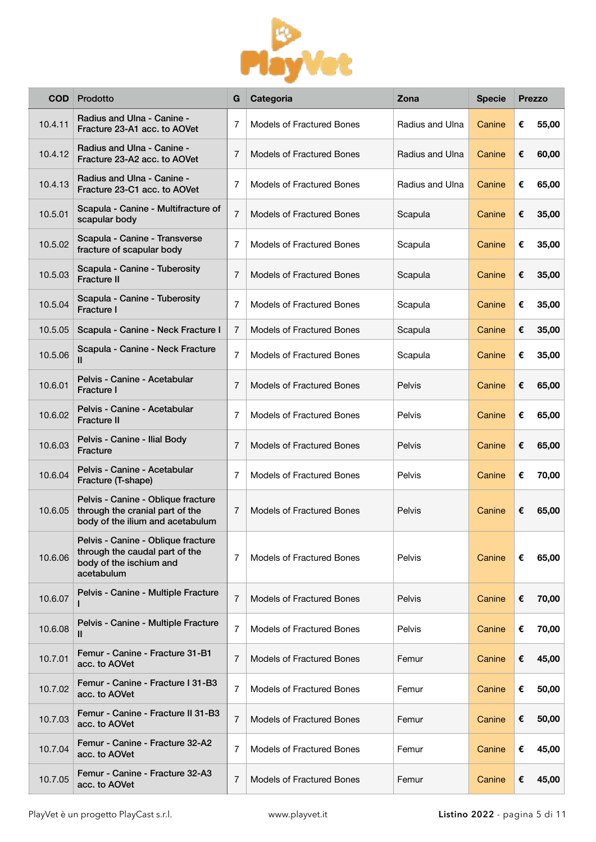

| <b>COD</b> | Prodotto                                                                                                      | G              | Categoria                        | Zona            | <b>Specie</b> |   | <b>Prezzo</b> |
|------------|---------------------------------------------------------------------------------------------------------------|----------------|----------------------------------|-----------------|---------------|---|---------------|
| 10.4.11    | Radius and Ulna - Canine -<br>Fracture 23-A1 acc. to AOVet                                                    | 7              | <b>Models of Fractured Bones</b> | Radius and Ulna | Canine        | € | 55,00         |
| 10.4.12    | Radius and Ulna - Canine -<br>Fracture 23-A2 acc. to AOVet                                                    | 7              | <b>Models of Fractured Bones</b> | Radius and Ulna | Canine        | € | 60,00         |
| 10.4.13    | Radius and Ulna - Canine -<br>Fracture 23-C1 acc. to AOVet                                                    | 7              | <b>Models of Fractured Bones</b> | Radius and Ulna | Canine        | € | 65,00         |
| 10.5.01    | Scapula - Canine - Multifracture of<br>scapular body                                                          | $\overline{7}$ | <b>Models of Fractured Bones</b> | Scapula         | Canine        | € | 35,00         |
| 10.5.02    | Scapula - Canine - Transverse<br>fracture of scapular body                                                    | $\overline{7}$ | <b>Models of Fractured Bones</b> | Scapula         | Canine        | € | 35,00         |
| 10.5.03    | Scapula - Canine - Tuberosity<br>Fracture II                                                                  | $\overline{7}$ | <b>Models of Fractured Bones</b> | Scapula         | Canine        | € | 35,00         |
| 10.5.04    | Scapula - Canine - Tuberosity<br>Fracture I                                                                   | $\overline{7}$ | <b>Models of Fractured Bones</b> | Scapula         | Canine        | € | 35,00         |
| 10.5.05    | Scapula - Canine - Neck Fracture I                                                                            | $\overline{7}$ | <b>Models of Fractured Bones</b> | Scapula         | Canine        | € | 35,00         |
| 10.5.06    | Scapula - Canine - Neck Fracture<br>Ш                                                                         | $\overline{7}$ | <b>Models of Fractured Bones</b> | Scapula         | Canine        | € | 35,00         |
| 10.6.01    | Pelvis - Canine - Acetabular<br><b>Fracture I</b>                                                             | $\overline{7}$ | <b>Models of Fractured Bones</b> | Pelvis          | Canine        | € | 65,00         |
| 10.6.02    | Pelvis - Canine - Acetabular<br><b>Fracture II</b>                                                            | 7              | <b>Models of Fractured Bones</b> | Pelvis          | Canine        | € | 65,00         |
| 10.6.03    | Pelvis - Canine - Ilial Body<br><b>Fracture</b>                                                               | $\overline{7}$ | <b>Models of Fractured Bones</b> | Pelvis          | Canine        | € | 65,00         |
| 10.6.04    | Pelvis - Canine - Acetabular<br>Fracture (T-shape)                                                            | $\overline{7}$ | <b>Models of Fractured Bones</b> | Pelvis          | Canine        | € | 70,00         |
| 10.6.05    | Pelvis - Canine - Oblique fracture<br>through the cranial part of the<br>body of the ilium and acetabulum     | $\overline{7}$ | <b>Models of Fractured Bones</b> | Pelvis          | Canine        | € | 65,00         |
| 10.6.06    | Pelvis - Canine - Oblique fracture<br>through the caudal part of the<br>body of the ischium and<br>acetabulum | $\overline{7}$ | Models of Fractured Bones        | Pelvis          | Canine        | € | 65,00         |
| 10.6.07    | Pelvis - Canine - Multiple Fracture                                                                           | $\overline{7}$ | <b>Models of Fractured Bones</b> | Pelvis          | Canine        | € | 70,00         |
| 10.6.08    | Pelvis - Canine - Multiple Fracture<br>Ш                                                                      | $\overline{7}$ | <b>Models of Fractured Bones</b> | Pelvis          | Canine        | € | 70,00         |
| 10.7.01    | Femur - Canine - Fracture 31-B1<br>acc. to AOVet                                                              | $\overline{7}$ | Models of Fractured Bones        | Femur           | Canine        | € | 45,00         |
| 10.7.02    | Femur - Canine - Fracture I 31-B3<br>acc. to AOVet                                                            | $\overline{7}$ | <b>Models of Fractured Bones</b> | Femur           | Canine        | € | 50,00         |
| 10.7.03    | Femur - Canine - Fracture II 31-B3<br>acc. to AOVet                                                           | $\overline{7}$ | Models of Fractured Bones        | Femur           | Canine        | € | 50,00         |
| 10.7.04    | Femur - Canine - Fracture 32-A2<br>acc. to AOVet                                                              | 7              | <b>Models of Fractured Bones</b> | Femur           | Canine        | € | 45,00         |
| 10.7.05    | Femur - Canine - Fracture 32-A3<br>acc. to AOVet                                                              | $\overline{7}$ | Models of Fractured Bones        | Femur           | Canine        | € | 45,00         |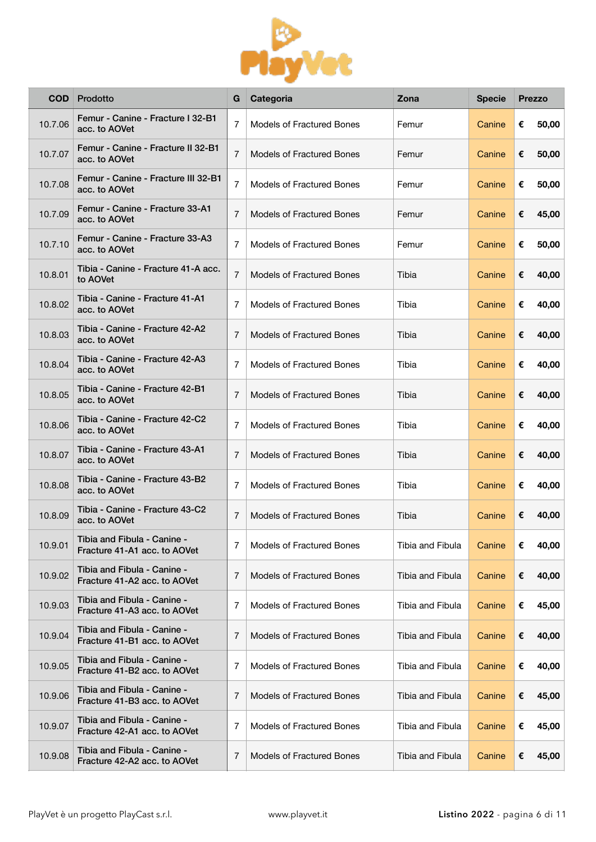

| <b>COD</b> | Prodotto                                                    | G              | Categoria                        | Zona             | <b>Specie</b> |   | <b>Prezzo</b> |
|------------|-------------------------------------------------------------|----------------|----------------------------------|------------------|---------------|---|---------------|
| 10.7.06    | Femur - Canine - Fracture I 32-B1<br>acc. to AOVet          | $\overline{7}$ | <b>Models of Fractured Bones</b> | Femur            | Canine        | € | 50,00         |
| 10.7.07    | Femur - Canine - Fracture II 32-B1<br>acc. to AOVet         | $\overline{7}$ | <b>Models of Fractured Bones</b> | Femur            | Canine        | € | 50,00         |
| 10.7.08    | Femur - Canine - Fracture III 32-B1<br>acc. to AOVet        | $\overline{7}$ | <b>Models of Fractured Bones</b> | Femur            | Canine        | € | 50,00         |
| 10.7.09    | Femur - Canine - Fracture 33-A1<br>acc. to AOVet            | $\overline{7}$ | <b>Models of Fractured Bones</b> | Femur            | Canine        | € | 45,00         |
| 10.7.10    | Femur - Canine - Fracture 33-A3<br>acc. to AOVet            | $\overline{7}$ | <b>Models of Fractured Bones</b> | Femur            | Canine        | € | 50,00         |
| 10.8.01    | Tibia - Canine - Fracture 41-A acc.<br>to AOVet             | $\overline{7}$ | <b>Models of Fractured Bones</b> | Tibia            | Canine        | € | 40,00         |
| 10.8.02    | Tibia - Canine - Fracture 41-A1<br>acc. to AOVet            | $\overline{7}$ | <b>Models of Fractured Bones</b> | Tibia            | Canine        | € | 40,00         |
| 10.8.03    | Tibia - Canine - Fracture 42-A2<br>acc. to AOVet            | 7              | <b>Models of Fractured Bones</b> | Tibia            | Canine        | € | 40,00         |
| 10.8.04    | Tibia - Canine - Fracture 42-A3<br>acc. to AOVet            | 7              | <b>Models of Fractured Bones</b> | Tibia            | Canine        | € | 40,00         |
| 10.8.05    | Tibia - Canine - Fracture 42-B1<br>acc. to AOVet            | 7              | <b>Models of Fractured Bones</b> | Tibia            | Canine        | € | 40,00         |
| 10.8.06    | Tibia - Canine - Fracture 42-C2<br>acc. to AOVet            | 7              | <b>Models of Fractured Bones</b> | Tibia            | Canine        | € | 40,00         |
| 10.8.07    | Tibia - Canine - Fracture 43-A1<br>acc. to AOVet            | 7              | <b>Models of Fractured Bones</b> | Tibia            | Canine        | € | 40,00         |
| 10.8.08    | Tibia - Canine - Fracture 43-B2<br>acc. to AOVet            | 7              | <b>Models of Fractured Bones</b> | Tibia            | Canine        | € | 40,00         |
| 10.8.09    | Tibia - Canine - Fracture 43-C2<br>acc. to AOVet            | 7              | <b>Models of Fractured Bones</b> | Tibia            | Canine        | € | 40,00         |
| 10.9.01    | Tibia and Fibula - Canine -<br>Fracture 41-A1 acc. to AOVet | 7              | <b>Models of Fractured Bones</b> | Tibia and Fibula | Canine        | € | 40,00         |
| 10.9.02    | Tibia and Fibula - Canine -<br>Fracture 41-A2 acc. to AOVet | 7              | <b>Models of Fractured Bones</b> | Tibia and Fibula | Canine        | € | 40,00         |
| 10.9.03    | Tibia and Fibula - Canine -<br>Fracture 41-A3 acc. to AOVet | 7              | <b>Models of Fractured Bones</b> | Tibia and Fibula | Canine        | € | 45,00         |
| 10.9.04    | Tibia and Fibula - Canine -<br>Fracture 41-B1 acc. to AOVet | 7              | <b>Models of Fractured Bones</b> | Tibia and Fibula | Canine        | € | 40,00         |
| 10.9.05    | Tibia and Fibula - Canine -<br>Fracture 41-B2 acc. to AOVet | 7              | <b>Models of Fractured Bones</b> | Tibia and Fibula | Canine        | € | 40,00         |
| 10.9.06    | Tibia and Fibula - Canine -<br>Fracture 41-B3 acc. to AOVet | 7              | <b>Models of Fractured Bones</b> | Tibia and Fibula | Canine        | € | 45,00         |
| 10.9.07    | Tibia and Fibula - Canine -<br>Fracture 42-A1 acc. to AOVet | 7              | <b>Models of Fractured Bones</b> | Tibia and Fibula | Canine        | € | 45,00         |
| 10.9.08    | Tibia and Fibula - Canine -<br>Fracture 42-A2 acc. to AOVet | 7              | <b>Models of Fractured Bones</b> | Tibia and Fibula | Canine        | € | 45,00         |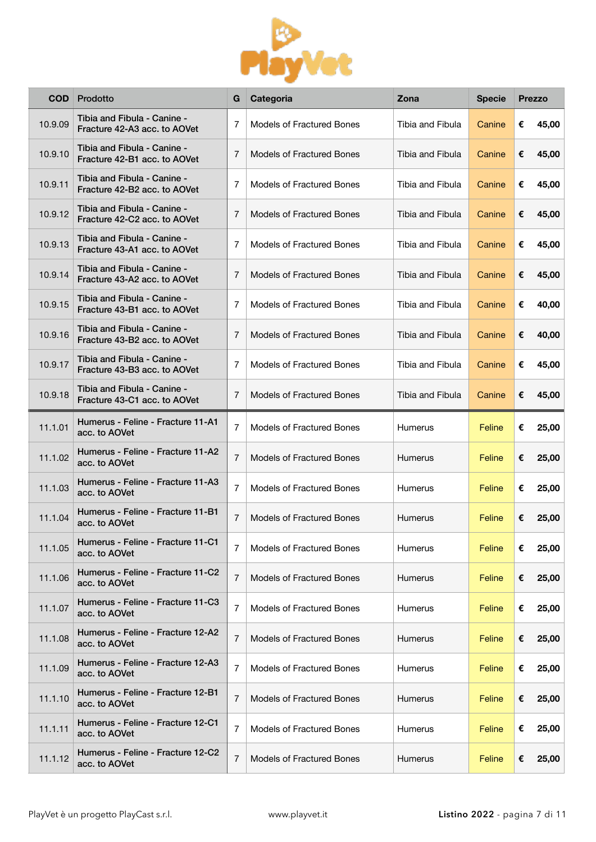

| <b>COD</b> | Prodotto                                                    | G              | Categoria                        | Zona             | <b>Specie</b> |   | <b>Prezzo</b> |
|------------|-------------------------------------------------------------|----------------|----------------------------------|------------------|---------------|---|---------------|
| 10.9.09    | Tibia and Fibula - Canine -<br>Fracture 42-A3 acc. to AOVet | 7              | <b>Models of Fractured Bones</b> | Tibia and Fibula | Canine        | € | 45,00         |
| 10.9.10    | Tibia and Fibula - Canine -<br>Fracture 42-B1 acc. to AOVet | $\overline{7}$ | <b>Models of Fractured Bones</b> | Tibia and Fibula | Canine        | € | 45,00         |
| 10.9.11    | Tibia and Fibula - Canine -<br>Fracture 42-B2 acc. to AOVet | 7              | <b>Models of Fractured Bones</b> | Tibia and Fibula | Canine        | € | 45,00         |
| 10.9.12    | Tibia and Fibula - Canine -<br>Fracture 42-C2 acc. to AOVet | 7              | <b>Models of Fractured Bones</b> | Tibia and Fibula | Canine        | € | 45,00         |
| 10.9.13    | Tibia and Fibula - Canine -<br>Fracture 43-A1 acc. to AOVet | 7              | <b>Models of Fractured Bones</b> | Tibia and Fibula | Canine        | € | 45,00         |
| 10.9.14    | Tibia and Fibula - Canine -<br>Fracture 43-A2 acc. to AOVet | $\overline{7}$ | <b>Models of Fractured Bones</b> | Tibia and Fibula | Canine        | € | 45,00         |
| 10.9.15    | Tibia and Fibula - Canine -<br>Fracture 43-B1 acc. to AOVet | $\overline{7}$ | <b>Models of Fractured Bones</b> | Tibia and Fibula | Canine        | € | 40,00         |
| 10.9.16    | Tibia and Fibula - Canine -<br>Fracture 43-B2 acc. to AOVet | $\overline{7}$ | <b>Models of Fractured Bones</b> | Tibia and Fibula | Canine        | € | 40,00         |
| 10.9.17    | Tibia and Fibula - Canine -<br>Fracture 43-B3 acc. to AOVet | $\overline{7}$ | <b>Models of Fractured Bones</b> | Tibia and Fibula | Canine        | € | 45,00         |
| 10.9.18    | Tibia and Fibula - Canine -<br>Fracture 43-C1 acc. to AOVet | $\overline{7}$ | <b>Models of Fractured Bones</b> | Tibia and Fibula | Canine        | € | 45,00         |
| 11.1.01    | Humerus - Feline - Fracture 11-A1<br>acc. to AOVet          | $\overline{7}$ | <b>Models of Fractured Bones</b> | Humerus          | Feline        | € | 25,00         |
| 11.1.02    | Humerus - Feline - Fracture 11-A2<br>acc. to AOVet          | $\overline{7}$ | <b>Models of Fractured Bones</b> | <b>Humerus</b>   | Feline        | € | 25,00         |
| 11.1.03    | Humerus - Feline - Fracture 11-A3<br>acc. to AOVet          | $\overline{7}$ | <b>Models of Fractured Bones</b> | Humerus          | Feline        | € | 25,00         |
| 11.1.04    | Humerus - Feline - Fracture 11-B1<br>acc. to AOVet          | $\overline{7}$ | <b>Models of Fractured Bones</b> | Humerus          | Feline        | € | 25,00         |
| 11.1.05    | Humerus - Feline - Fracture 11-C1<br>acc. to AOVet          | 7              | <b>Models of Fractured Bones</b> | Humerus          | Feline        | € | 25,00         |
| 11.1.06    | Humerus - Feline - Fracture 11-C2<br>acc. to AOVet          | 7              | Models of Fractured Bones        | Humerus          | Feline        | € | 25,00         |
| 11.1.07    | Humerus - Feline - Fracture 11-C3<br>acc. to AOVet          | 7              | Models of Fractured Bones        | <b>Humerus</b>   | Feline        | € | 25,00         |
| 11.1.08    | Humerus - Feline - Fracture 12-A2<br>acc. to AOVet          | 7              | <b>Models of Fractured Bones</b> | <b>Humerus</b>   | Feline        | € | 25,00         |
| 11.1.09    | Humerus - Feline - Fracture 12-A3<br>acc. to AOVet          | 7              | Models of Fractured Bones        | Humerus          | Feline        | € | 25,00         |
| 11.1.10    | Humerus - Feline - Fracture 12-B1<br>acc. to AOVet          | 7              | <b>Models of Fractured Bones</b> | Humerus          | Feline        | € | 25,00         |
| 11.1.11    | Humerus - Feline - Fracture 12-C1<br>acc. to AOVet          | 7              | Models of Fractured Bones        | Humerus          | Feline        | € | 25,00         |
| 11.1.12    | Humerus - Feline - Fracture 12-C2<br>acc. to AOVet          | 7              | Models of Fractured Bones        | Humerus          | Feline        | € | 25,00         |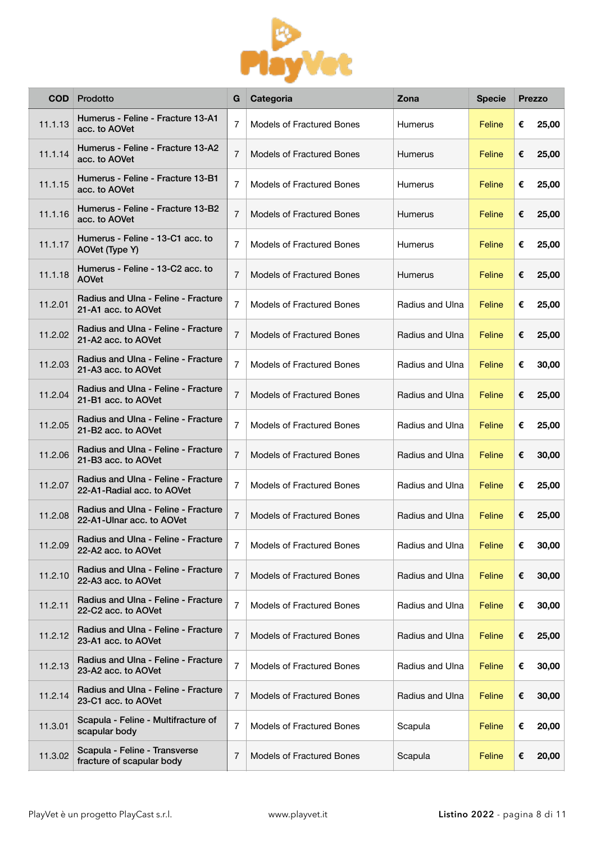

| <b>COD</b> | Prodotto                                                          | G              | Categoria                        | Zona            | <b>Specie</b> |   | <b>Prezzo</b> |
|------------|-------------------------------------------------------------------|----------------|----------------------------------|-----------------|---------------|---|---------------|
| 11.1.13    | Humerus - Feline - Fracture 13-A1<br>acc. to AOVet                | $\overline{7}$ | <b>Models of Fractured Bones</b> | Humerus         | Feline        | € | 25,00         |
| 11.1.14    | Humerus - Feline - Fracture 13-A2<br>acc. to AOVet                | 7              | <b>Models of Fractured Bones</b> | Humerus         | Feline        | € | 25,00         |
| 11.1.15    | Humerus - Feline - Fracture 13-B1<br>acc. to AOVet                | 7              | <b>Models of Fractured Bones</b> | Humerus         | Feline        | € | 25,00         |
| 11.1.16    | Humerus - Feline - Fracture 13-B2<br>acc. to AOVet                | 7              | <b>Models of Fractured Bones</b> | Humerus         | Feline        | € | 25,00         |
| 11.1.17    | Humerus - Feline - 13-C1 acc. to<br>AOVet (Type Y)                | 7              | <b>Models of Fractured Bones</b> | Humerus         | Feline        | € | 25,00         |
| 11.1.18    | Humerus - Feline - 13-C2 acc. to<br><b>AOVet</b>                  | 7              | <b>Models of Fractured Bones</b> | Humerus         | Feline        | € | 25,00         |
| 11.2.01    | Radius and Ulna - Feline - Fracture<br>21-A1 acc. to AOVet        | 7              | <b>Models of Fractured Bones</b> | Radius and Ulna | Feline        | € | 25,00         |
| 11.2.02    | Radius and Ulna - Feline - Fracture<br>21-A2 acc. to AOVet        | $\overline{7}$ | <b>Models of Fractured Bones</b> | Radius and Ulna | Feline        | € | 25,00         |
| 11.2.03    | Radius and Ulna - Feline - Fracture<br>21-A3 acc. to AOVet        | 7              | Models of Fractured Bones        | Radius and Ulna | Feline        | € | 30,00         |
| 11.2.04    | Radius and Ulna - Feline - Fracture<br>21-B1 acc. to AOVet        | $\overline{7}$ | <b>Models of Fractured Bones</b> | Radius and Ulna | Feline        | € | 25,00         |
| 11.2.05    | Radius and Ulna - Feline - Fracture<br>21-B2 acc. to AOVet        | $\overline{7}$ | <b>Models of Fractured Bones</b> | Radius and Ulna | Feline        | € | 25,00         |
| 11.2.06    | Radius and Ulna - Feline - Fracture<br>21-B3 acc. to AOVet        | $\overline{7}$ | Models of Fractured Bones        | Radius and Ulna | Feline        | € | 30,00         |
| 11.2.07    | Radius and Ulna - Feline - Fracture<br>22-A1-Radial acc. to AOVet | 7              | <b>Models of Fractured Bones</b> | Radius and Ulna | Feline        | € | 25,00         |
| 11.2.08    | Radius and Ulna - Feline - Fracture<br>22-A1-Ulnar acc. to AOVet  | 7              | <b>Models of Fractured Bones</b> | Radius and Ulna | Feline        | € | 25,00         |
| 11.2.09    | Radius and Ulna - Feline - Fracture<br>22-A2 acc. to AOVet        | 7              | Models of Fractured Bones        | Radius and Ulna | Feline        | € | 30,00         |
| 11.2.10    | Radius and Ulna - Feline - Fracture<br>22-A3 acc. to AOVet        | 7              | Models of Fractured Bones        | Radius and Ulna | Feline        | € | 30,00         |
| 11.2.11    | Radius and Ulna - Feline - Fracture<br>22-C2 acc. to AOVet        | 7              | Models of Fractured Bones        | Radius and Ulna | Feline        | € | 30,00         |
| 11.2.12    | Radius and Ulna - Feline - Fracture<br>23-A1 acc. to AOVet        | 7              | Models of Fractured Bones        | Radius and Ulna | Feline        | € | 25,00         |
| 11.2.13    | Radius and Ulna - Feline - Fracture<br>23-A2 acc. to AOVet        | 7              | Models of Fractured Bones        | Radius and Ulna | Feline        | € | 30,00         |
| 11.2.14    | Radius and Ulna - Feline - Fracture<br>23-C1 acc. to AOVet        | 7              | Models of Fractured Bones        | Radius and Ulna | Feline        | € | 30,00         |
| 11.3.01    | Scapula - Feline - Multifracture of<br>scapular body              | 7              | Models of Fractured Bones        | Scapula         | Feline        | € | 20,00         |
| 11.3.02    | Scapula - Feline - Transverse<br>fracture of scapular body        | 7              | <b>Models of Fractured Bones</b> | Scapula         | Feline        | € | 20,00         |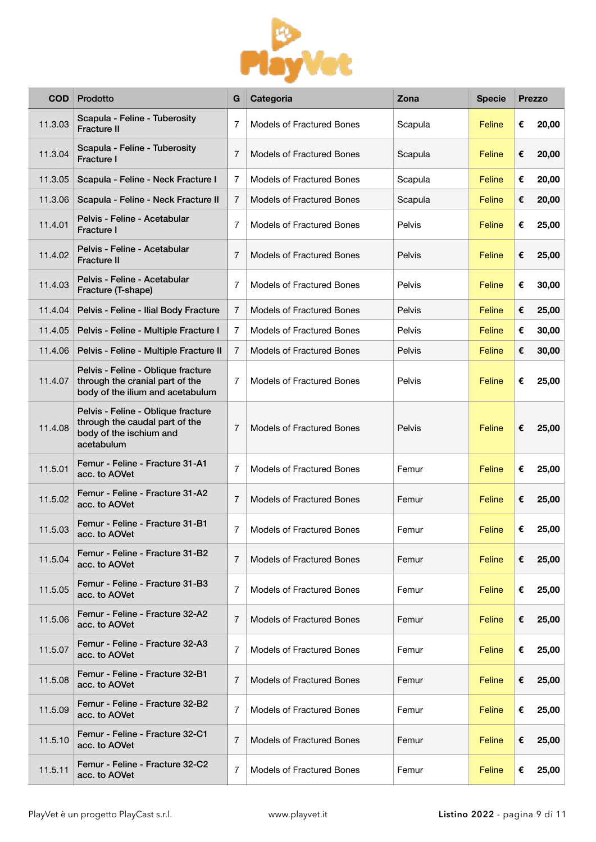

| COD     | Prodotto                                                                                                      | G              | Categoria                        | Zona    | <b>Specie</b> |   | <b>Prezzo</b> |
|---------|---------------------------------------------------------------------------------------------------------------|----------------|----------------------------------|---------|---------------|---|---------------|
| 11.3.03 | Scapula - Feline - Tuberosity<br><b>Fracture II</b>                                                           | $\overline{7}$ | Models of Fractured Bones        | Scapula | Feline        | € | 20,00         |
| 11.3.04 | Scapula - Feline - Tuberosity<br>Fracture I                                                                   | 7              | <b>Models of Fractured Bones</b> | Scapula | Feline        | € | 20,00         |
| 11.3.05 | Scapula - Feline - Neck Fracture I                                                                            | 7              | Models of Fractured Bones        | Scapula | Feline        | € | 20,00         |
| 11.3.06 | Scapula - Feline - Neck Fracture II                                                                           | $\overline{7}$ | Models of Fractured Bones        | Scapula | Feline        | € | 20,00         |
| 11.4.01 | Pelvis - Feline - Acetabular<br><b>Fracture I</b>                                                             | 7              | Models of Fractured Bones        | Pelvis  | Feline        | € | 25,00         |
| 11.4.02 | Pelvis - Feline - Acetabular<br><b>Fracture II</b>                                                            | $\overline{7}$ | <b>Models of Fractured Bones</b> | Pelvis  | Feline        | € | 25,00         |
| 11.4.03 | Pelvis - Feline - Acetabular<br>Fracture (T-shape)                                                            | 7              | <b>Models of Fractured Bones</b> | Pelvis  | Feline        | € | 30,00         |
| 11.4.04 | Pelvis - Feline - Ilial Body Fracture                                                                         | 7              | Models of Fractured Bones        | Pelvis  | Feline        | € | 25,00         |
| 11.4.05 | Pelvis - Feline - Multiple Fracture I                                                                         | $\overline{7}$ | <b>Models of Fractured Bones</b> | Pelvis  | Feline        | € | 30,00         |
| 11.4.06 | Pelvis - Feline - Multiple Fracture II                                                                        | $\overline{7}$ | Models of Fractured Bones        | Pelvis  | Feline        | € | 30,00         |
| 11.4.07 | Pelvis - Feline - Oblique fracture<br>through the cranial part of the<br>body of the ilium and acetabulum     | 7              | <b>Models of Fractured Bones</b> | Pelvis  | Feline        | € | 25,00         |
| 11.4.08 | Pelvis - Feline - Oblique fracture<br>through the caudal part of the<br>body of the ischium and<br>acetabulum | 7              | Models of Fractured Bones        | Pelvis  | Feline        | € | 25,00         |
| 11.5.01 | Femur - Feline - Fracture 31-A1<br>acc. to AOVet                                                              | $\overline{7}$ | Models of Fractured Bones        | Femur   | Feline        | € | 25,00         |
| 11.5.02 | Femur - Feline - Fracture 31-A2<br>acc. to AOVet                                                              | $\overline{7}$ | Models of Fractured Bones        | Femur   | Feline        | € | 25,00         |
| 11.5.03 | Femur - Feline - Fracture 31-B1<br>acc. to AOVet                                                              | 7              | Models of Fractured Bones        | Femur   | Feline        | € | 25,00         |
| 11.5.04 | Femur - Feline - Fracture 31-B2<br>acc. to AOVet                                                              | 7              | <b>Models of Fractured Bones</b> | Femur   | Feline        | € | 25,00         |
| 11.5.05 | Femur - Feline - Fracture 31-B3<br>acc. to AOVet                                                              | 7              | Models of Fractured Bones        | Femur   | Feline        | € | 25,00         |
| 11.5.06 | Femur - Feline - Fracture 32-A2<br>acc. to AOVet                                                              | 7              | <b>Models of Fractured Bones</b> | Femur   | Feline        | € | 25,00         |
| 11.5.07 | Femur - Feline - Fracture 32-A3<br>acc. to AOVet                                                              | 7              | Models of Fractured Bones        | Femur   | Feline        | € | 25,00         |
| 11.5.08 | Femur - Feline - Fracture 32-B1<br>acc. to AOVet                                                              | 7              | <b>Models of Fractured Bones</b> | Femur   | Feline        | € | 25,00         |
| 11.5.09 | Femur - Feline - Fracture 32-B2<br>acc. to AOVet                                                              | 7              | Models of Fractured Bones        | Femur   | Feline        | € | 25,00         |
| 11.5.10 | Femur - Feline - Fracture 32-C1<br>acc. to AOVet                                                              | 7              | Models of Fractured Bones        | Femur   | Feline        | € | 25,00         |
| 11.5.11 | Femur - Feline - Fracture 32-C2<br>acc. to AOVet                                                              | 7              | Models of Fractured Bones        | Femur   | Feline        | € | 25,00         |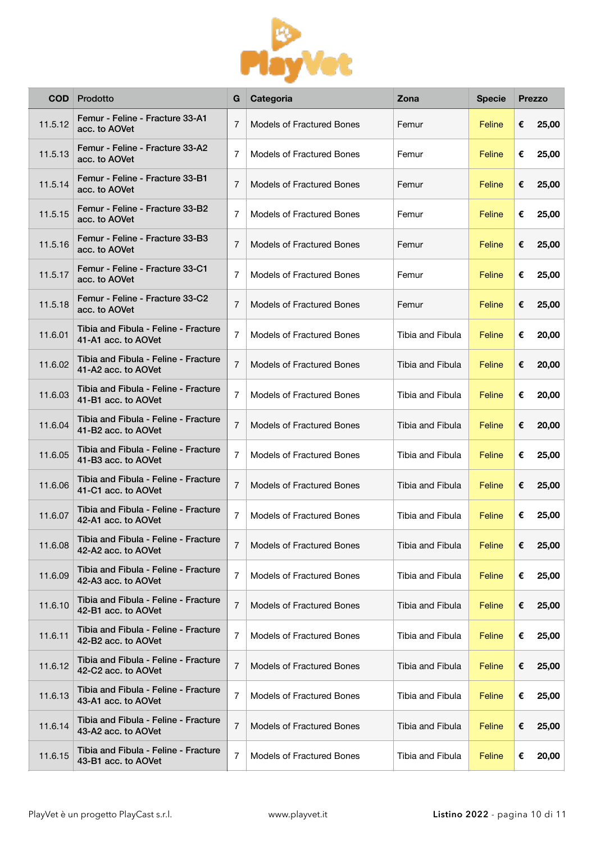

| <b>COD</b> | Prodotto                                                    | G              | Categoria                        | Zona                    | <b>Specie</b> |   | <b>Prezzo</b> |
|------------|-------------------------------------------------------------|----------------|----------------------------------|-------------------------|---------------|---|---------------|
| 11.5.12    | Femur - Feline - Fracture 33-A1<br>acc. to AOVet            | $\overline{7}$ | Models of Fractured Bones        | Femur                   | Feline        | € | 25,00         |
| 11.5.13    | Femur - Feline - Fracture 33-A2<br>acc. to AOVet            | 7              | <b>Models of Fractured Bones</b> | Femur                   | Feline        | € | 25,00         |
| 11.5.14    | Femur - Feline - Fracture 33-B1<br>acc. to AOVet            | 7              | <b>Models of Fractured Bones</b> | Femur                   | Feline        | € | 25,00         |
| 11.5.15    | Femur - Feline - Fracture 33-B2<br>acc. to AOVet            | 7              | <b>Models of Fractured Bones</b> | Femur                   | Feline        | € | 25,00         |
| 11.5.16    | Femur - Feline - Fracture 33-B3<br>acc. to AOVet            | 7              | <b>Models of Fractured Bones</b> | Femur                   | Feline        | € | 25,00         |
| 11.5.17    | Femur - Feline - Fracture 33-C1<br>acc. to AOVet            | 7              | <b>Models of Fractured Bones</b> | Femur                   | Feline        | € | 25,00         |
| 11.5.18    | Femur - Feline - Fracture 33-C2<br>acc. to AOVet            | 7              | <b>Models of Fractured Bones</b> | Femur                   | Feline        | € | 25,00         |
| 11.6.01    | Tibia and Fibula - Feline - Fracture<br>41-A1 acc. to AOVet | $\overline{7}$ | <b>Models of Fractured Bones</b> | Tibia and Fibula        | Feline        | € | 20,00         |
| 11.6.02    | Tibia and Fibula - Feline - Fracture<br>41-A2 acc. to AOVet | $\overline{7}$ | <b>Models of Fractured Bones</b> | Tibia and Fibula        | Feline        | € | 20,00         |
| 11.6.03    | Tibia and Fibula - Feline - Fracture<br>41-B1 acc. to AOVet | $\overline{7}$ | <b>Models of Fractured Bones</b> | Tibia and Fibula        | Feline        | € | 20,00         |
| 11.6.04    | Tibia and Fibula - Feline - Fracture<br>41-B2 acc. to AOVet | $\overline{7}$ | <b>Models of Fractured Bones</b> | Tibia and Fibula        | Feline        | € | 20,00         |
| 11.6.05    | Tibia and Fibula - Feline - Fracture<br>41-B3 acc. to AOVet | $\overline{7}$ | <b>Models of Fractured Bones</b> | Tibia and Fibula        | Feline        | € | 25,00         |
| 11.6.06    | Tibia and Fibula - Feline - Fracture<br>41-C1 acc. to AOVet | $\overline{7}$ | <b>Models of Fractured Bones</b> | Tibia and Fibula        | Feline        | € | 25,00         |
| 11.6.07    | Tibia and Fibula - Feline - Fracture<br>42-A1 acc. to AOVet | $\overline{7}$ | <b>Models of Fractured Bones</b> | Tibia and Fibula        | Feline        | € | 25,00         |
| 11.6.08    | Tibia and Fibula - Feline - Fracture<br>42-A2 acc. to AOVet | 7              | <b>Models of Fractured Bones</b> | <b>Tibia and Fibula</b> | Feline        | € | 25,00         |
| 11.6.09    | Tibia and Fibula - Feline - Fracture<br>42-A3 acc. to AOVet | $\overline{7}$ | <b>Models of Fractured Bones</b> | Tibia and Fibula        | Feline        | € | 25,00         |
| 11.6.10    | Tibia and Fibula - Feline - Fracture<br>42-B1 acc. to AOVet | 7              | Models of Fractured Bones        | Tibia and Fibula        | Feline        | € | 25,00         |
| 11.6.11    | Tibia and Fibula - Feline - Fracture<br>42-B2 acc. to AOVet | $\overline{7}$ | <b>Models of Fractured Bones</b> | Tibia and Fibula        | Feline        | € | 25,00         |
| 11.6.12    | Tibia and Fibula - Feline - Fracture<br>42-C2 acc. to AOVet | 7              | <b>Models of Fractured Bones</b> | Tibia and Fibula        | Feline        | € | 25,00         |
| 11.6.13    | Tibia and Fibula - Feline - Fracture<br>43-A1 acc. to AOVet | $\overline{7}$ | <b>Models of Fractured Bones</b> | Tibia and Fibula        | Feline        | € | 25,00         |
| 11.6.14    | Tibia and Fibula - Feline - Fracture<br>43-A2 acc. to AOVet | 7              | <b>Models of Fractured Bones</b> | Tibia and Fibula        | Feline        | € | 25,00         |
| 11.6.15    | Tibia and Fibula - Feline - Fracture<br>43-B1 acc. to AOVet | $\overline{7}$ | Models of Fractured Bones        | Tibia and Fibula        | Feline        | € | 20,00         |